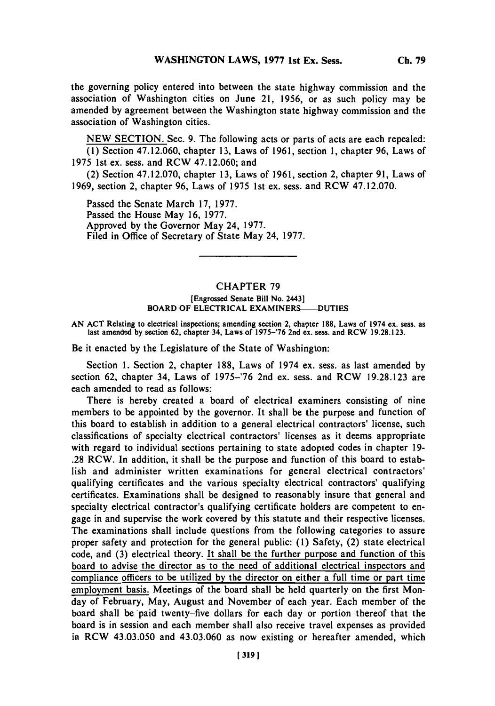the governing policy entered into between the state highway commission and the association of Washington cities on June 21, **1956,** or as such policy may be amended **by** agreement between the Washington state highway commission and the association of Washington cities.

**NEW SECTION.** Sec. **9.** The following acts or parts of acts are each repealed: **(1)** Section 47.12.060, chapter **13,** Laws of **1961,** section **1,** chapter **96,** Laws of **1975** 1st ex. sess. and RCW 47.12.060; and

(2) Section **47.12.070,** chapter **13,** Laws of **1961,** section 2, chapter **91,** Laws of **1969,** section 2, chapter **96,** Laws of **1975** 1st ex. sess. and RCW **47.12.070.**

Passed the Senate March **17, 1977.** Passed the House May **16, 1977.** Approved **by** the Governor May 24, **1977.** Filed in Office of Secretary of State May 24, **1977.**

## CHAPTER **79**

## [Engrossed Senate Bill No. 2443] BOARD OF ELECTRICAL EXAMINERS-DUTIES

AN ACT Relating to electrical inspections; amending section 2, chapter 188, Laws of 1974 ex. sess. as last amended by section 62, chapter 34, Laws of 1975–'76 2nd ex. sess. and RCW 19.28.123.

Be it enacted **by** the Legislature of the State of Washington:

Section **1.** Section 2, chapter **188,** Laws of 1974 ex. sess. as last amended **by** section **62,** chapter 34, Laws of **1975-'76** 2nd ex. sess. and RCW **19.28.123** are each amended to read as follows:

There is hereby created a board of electrical examiners consisting of nine members to be appointed **by** the governor. It shall be the purpose and function of this board to establish in addition to a general electrical contractors' license, such classifications of specialty electrical contractors' licenses as it deems appropriate with regard to individual sections pertaining to state adopted codes in chapter **19- .28** RCW. In addition, it shall be the purpose and function of this board to establish and administer written examinations for general electrical contractors' qualifying certificates and the various specialty electrical contractors' qualifying certificates. Examinations shall be designed to reasonably insure that general and specialty electrical contractor's qualifying certificate holders are competent to engage in and supervise the work covered **by** this statute and their respective licenses. The examinations shall include questions from the following categories to assure proper safety and protection for the general public: **(1)** Safety, (2) state electrical code, and **(3)** electrical theory. It shall be the further purpose and function of this board to advise the director as to the need of additional electrical inspectors and compliance officers to be utilized **by** the director on either a full time or part time employment basis. Meetings of the board shall be held quarterly on the first Monday of February, May, August and November of each year. Each member of the board shall be paid twenty-five dollars for each day or portion thereof that the board is in session and each member shall also receive travel expenses as provided in RCW 43.03.050 and 43.03.060 as now existing or hereafter amended, which

**Ch. 79**